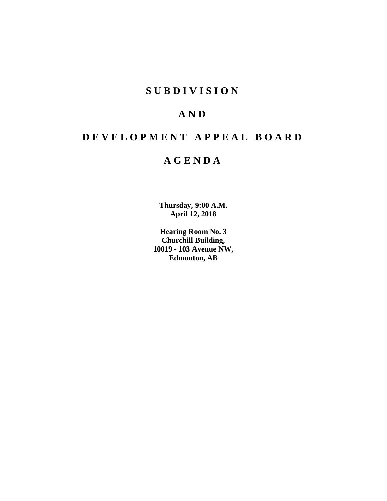# **SUBDIVISION**

# **AND**

# **DEVELOPMENT APPEAL BOARD**

# **AGENDA**

**Thursday, 9:00 A.M. April 12, 2018**

**Hearing Room No. 3 Churchill Building, 10019 - 103 Avenue NW, Edmonton, AB**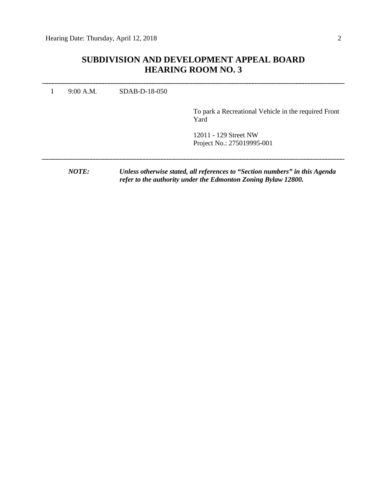# **SUBDIVISION AND DEVELOPMENT APPEAL BOARD HEARING ROOM NO. 3**

I 9:00 A.M. SDAB-D-18-050 To park a Recreational Vehicle in the required Front Yard 12011 - 129 Street NW Project No.: 275019995-001 *NOTE: Unless otherwise stated, all references to "Section numbers" in this Agenda refer to the authority under the Edmonton Zoning Bylaw 12800.*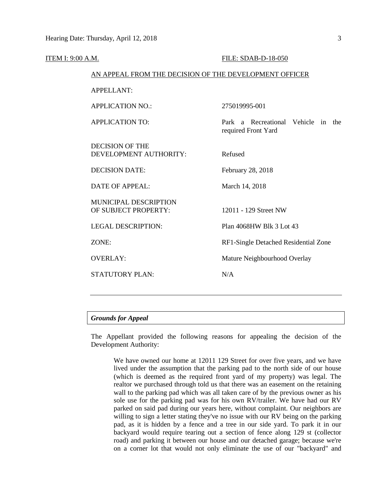| ITEM I: 9:00 A.M. |                                                        | FILE: SDAB-D-18-050                                       |  |  |  |
|-------------------|--------------------------------------------------------|-----------------------------------------------------------|--|--|--|
|                   | AN APPEAL FROM THE DECISION OF THE DEVELOPMENT OFFICER |                                                           |  |  |  |
|                   | <b>APPELLANT:</b>                                      |                                                           |  |  |  |
|                   | <b>APPLICATION NO.:</b>                                | 275019995-001                                             |  |  |  |
|                   | <b>APPLICATION TO:</b>                                 | Park a Recreational Vehicle in the<br>required Front Yard |  |  |  |
|                   | <b>DECISION OF THE</b><br>DEVELOPMENT AUTHORITY:       | Refused                                                   |  |  |  |
|                   | <b>DECISION DATE:</b>                                  | February 28, 2018                                         |  |  |  |
|                   | <b>DATE OF APPEAL:</b>                                 | March 14, 2018                                            |  |  |  |
|                   | MUNICIPAL DESCRIPTION<br>OF SUBJECT PROPERTY:          | 12011 - 129 Street NW                                     |  |  |  |
|                   | <b>LEGAL DESCRIPTION:</b>                              | Plan 4068HW Blk 3 Lot 43                                  |  |  |  |
|                   | ZONE:                                                  | RF1-Single Detached Residential Zone                      |  |  |  |
|                   | <b>OVERLAY:</b>                                        | Mature Neighbourhood Overlay                              |  |  |  |
|                   | <b>STATUTORY PLAN:</b>                                 | N/A                                                       |  |  |  |
|                   |                                                        |                                                           |  |  |  |

## *Grounds for Appeal*

The Appellant provided the following reasons for appealing the decision of the Development Authority:

We have owned our home at 12011 129 Street for over five years, and we have lived under the assumption that the parking pad to the north side of our house (which is deemed as the required front yard of my property) was legal. The realtor we purchased through told us that there was an easement on the retaining wall to the parking pad which was all taken care of by the previous owner as his sole use for the parking pad was for his own RV/trailer. We have had our RV parked on said pad during our years here, without complaint. Our neighbors are willing to sign a letter stating they've no issue with our RV being on the parking pad, as it is hidden by a fence and a tree in our side yard. To park it in our backyard would require tearing out a section of fence along 129 st (collector road) and parking it between our house and our detached garage; because we're on a corner lot that would not only eliminate the use of our "backyard" and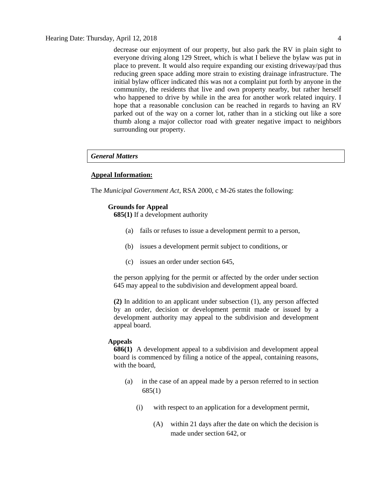decrease our enjoyment of our property, but also park the RV in plain sight to everyone driving along 129 Street, which is what I believe the bylaw was put in place to prevent. It would also require expanding our existing driveway/pad thus reducing green space adding more strain to existing drainage infrastructure. The initial bylaw officer indicated this was not a complaint put forth by anyone in the community, the residents that live and own property nearby, but rather herself who happened to drive by while in the area for another work related inquiry. I hope that a reasonable conclusion can be reached in regards to having an RV parked out of the way on a corner lot, rather than in a sticking out like a sore thumb along a major collector road with greater negative impact to neighbors surrounding our property.

# *General Matters*

# **Appeal Information:**

The *Municipal Government Act*, RSA 2000, c M-26 states the following:

# **Grounds for Appeal**

**685(1)** If a development authority

- (a) fails or refuses to issue a development permit to a person,
- (b) issues a development permit subject to conditions, or
- (c) issues an order under section 645,

the person applying for the permit or affected by the order under section 645 may appeal to the subdivision and development appeal board.

**(2)** In addition to an applicant under subsection (1), any person affected by an order, decision or development permit made or issued by a development authority may appeal to the subdivision and development appeal board.

#### **Appeals**

**686(1)** A development appeal to a subdivision and development appeal board is commenced by filing a notice of the appeal, containing reasons, with the board,

- (a) in the case of an appeal made by a person referred to in section 685(1)
	- (i) with respect to an application for a development permit,
		- (A) within 21 days after the date on which the decision is made under section 642, or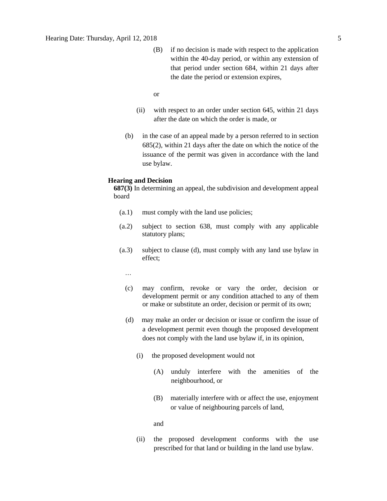- (B) if no decision is made with respect to the application within the 40-day period, or within any extension of that period under section 684, within 21 days after the date the period or extension expires,
- or
- (ii) with respect to an order under section 645, within 21 days after the date on which the order is made, or
- (b) in the case of an appeal made by a person referred to in section 685(2), within 21 days after the date on which the notice of the issuance of the permit was given in accordance with the land use bylaw.

#### **Hearing and Decision**

**687(3)** In determining an appeal, the subdivision and development appeal board

- (a.1) must comply with the land use policies;
- (a.2) subject to section 638, must comply with any applicable statutory plans;
- (a.3) subject to clause (d), must comply with any land use bylaw in effect;

…

- (c) may confirm, revoke or vary the order, decision or development permit or any condition attached to any of them or make or substitute an order, decision or permit of its own;
- (d) may make an order or decision or issue or confirm the issue of a development permit even though the proposed development does not comply with the land use bylaw if, in its opinion,
	- (i) the proposed development would not
		- (A) unduly interfere with the amenities of the neighbourhood, or
		- (B) materially interfere with or affect the use, enjoyment or value of neighbouring parcels of land,

and

(ii) the proposed development conforms with the use prescribed for that land or building in the land use bylaw.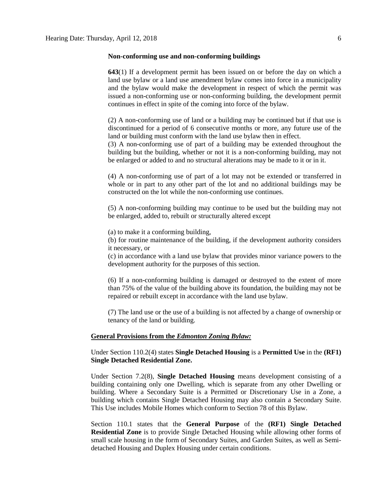#### **Non-conforming use and non-conforming buildings**

**643**(1) If a development permit has been issued on or before the day on which a land use bylaw or a land use amendment bylaw comes into force in a municipality and the bylaw would make the development in respect of which the permit was issued a non-conforming use or non-conforming building, the development permit continues in effect in spite of the coming into force of the bylaw.

(2) A non-conforming use of land or a building may be continued but if that use is discontinued for a period of 6 consecutive months or more, any future use of the land or building must conform with the land use bylaw then in effect.

(3) A non-conforming use of part of a building may be extended throughout the building but the building, whether or not it is a non-conforming building, may not be enlarged or added to and no structural alterations may be made to it or in it.

(4) A non-conforming use of part of a lot may not be extended or transferred in whole or in part to any other part of the lot and no additional buildings may be constructed on the lot while the non-conforming use continues.

(5) A non-conforming building may continue to be used but the building may not be enlarged, added to, rebuilt or structurally altered except

(a) to make it a conforming building,

(b) for routine maintenance of the building, if the development authority considers it necessary, or

(c) in accordance with a land use bylaw that provides minor variance powers to the development authority for the purposes of this section.

(6) If a non-conforming building is damaged or destroyed to the extent of more than 75% of the value of the building above its foundation, the building may not be repaired or rebuilt except in accordance with the land use bylaw.

(7) The land use or the use of a building is not affected by a change of ownership or tenancy of the land or building.

#### **General Provisions from the** *Edmonton Zoning Bylaw:*

Under Section 110.2(4) states **Single Detached Housing** is a **Permitted Use** in the **(RF1) Single Detached Residential Zone.**

Under Section 7.2(8), **Single Detached Housing** means development consisting of a building containing only one Dwelling, which is separate from any other Dwelling or building. Where a Secondary Suite is a Permitted or Discretionary Use in a Zone, a building which contains Single Detached Housing may also contain a Secondary Suite. This Use includes Mobile Homes which conform to Section 78 of this Bylaw.

Section 110.1 states that the **General Purpose** of the **(RF1) Single Detached Residential Zone** is to provide Single Detached Housing while allowing other forms of small scale housing in the form of Secondary Suites, and Garden Suites, as well as Semidetached Housing and Duplex Housing under certain conditions.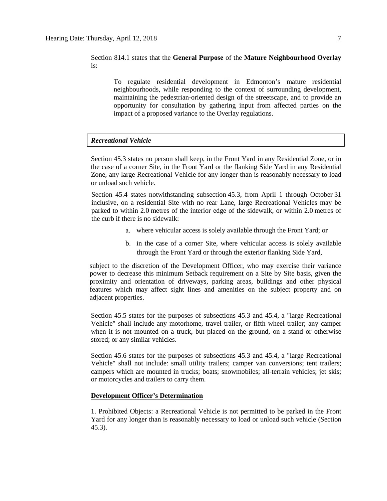# Section 814.1 states that the **General Purpose** of the **Mature Neighbourhood Overlay**  is:

To regulate residential development in Edmonton's mature residential neighbourhoods, while responding to the context of surrounding development, maintaining the pedestrian-oriented design of the streetscape, and to provide an opportunity for consultation by gathering input from affected parties on the impact of a proposed variance to the Overlay regulations.

# *Recreational Vehicle*

Section 45.3 states no person shall keep, in the Front Yard in any Residential Zone, or in the case of a corner Site, in the Front Yard or the flanking Side Yard in any Residential Zone, any large Recreational Vehicle for any longer than is reasonably necessary to load or unload such vehicle.

Section 45.4 states notwithstanding subsection 45.3, from April 1 through October 31 inclusive, on a residential Site with no rear Lane, large Recreational Vehicles may be parked to within [2.0](javascript:void(0);) metres of the interior edge of the sidewalk, or within [2.0](javascript:void(0);) metres of the curb if there is no sidewalk:

- a. where vehicular access is solely available through the Front Yard; or
- b. in the case of a corner Site, where vehicular access is solely available through the Front Yard or through the exterior flanking Side Yard,

subject to the discretion of the Development Officer, who may exercise their variance power to decrease this minimum Setback requirement on a Site by Site basis, given the proximity and orientation of driveways, parking areas, buildings and other physical features which may affect sight lines and amenities on the subject property and on adjacent properties.

Section 45.5 states for the purposes of subsections 45.3 and 45.4, a "large Recreational Vehicle" shall include any motorhome, travel trailer, or fifth wheel trailer; any camper when it is not mounted on a truck, but placed on the ground, on a stand or otherwise stored; or any similar vehicles.

Section 45.6 states for the purposes of subsections 45.3 and 45.4, a "large Recreational Vehicle" shall not include: small utility trailers; camper van conversions; tent trailers; campers which are mounted in trucks; boats; snowmobiles; all-terrain vehicles; jet skis; or motorcycles and trailers to carry them.

## **Development Officer's Determination**

1. Prohibited Objects: a Recreational Vehicle is not permitted to be parked in the Front Yard for any longer than is reasonably necessary to load or unload such vehicle (Section 45.3).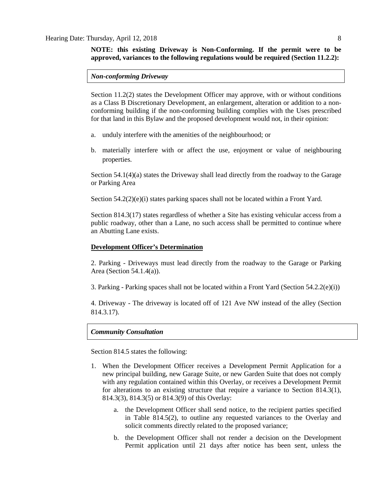# **NOTE: this existing Driveway is Non-Conforming. If the permit were to be approved, variances to the following regulations would be required (Section 11.2.2):**

#### *Non-conforming Driveway*

Section 11.2(2) states the Development Officer may approve, with or without conditions as a Class B Discretionary Development, an enlargement, alteration or addition to a nonconforming building if the non-conforming building complies with the Uses prescribed for that land in this Bylaw and the proposed development would not, in their opinion:

- a. unduly interfere with the amenities of the neighbourhood; or
- b. materially interfere with or affect the use, enjoyment or value of neighbouring properties.

Section 54.1(4)(a) states the Driveway shall lead directly from the roadway to the Garage or Parking Area

Section  $54.2(2)(e)(i)$  states parking spaces shall not be located within a Front Yard.

Section 814.3(17) states regardless of whether a Site has existing vehicular access from a public roadway, other than a Lane, no such access shall be permitted to continue where an Abutting Lane exists.

## **Development Officer's Determination**

2. Parking - Driveways must lead directly from the roadway to the Garage or Parking Area (Section 54.1.4(a)).

3. Parking - Parking spaces shall not be located within a Front Yard (Section  $54.2.2(e)(i)$ )

4. Driveway - The driveway is located off of 121 Ave NW instead of the alley (Section 814.3.17).

#### *Community Consultation*

Section 814.5 states the following:

- 1. When the Development Officer receives a Development Permit Application for a new principal building, new Garage Suite, or new Garden Suite that does not comply with any regulation contained within this Overlay, or receives a Development Permit for alterations to an existing structure that require a variance to Section 814.3(1), 814.3(3), 814.3(5) or 814.3(9) of this Overlay:
	- a. the Development Officer shall send notice, to the recipient parties specified in Table 814.5(2), to outline any requested variances to the Overlay and solicit comments directly related to the proposed variance;
	- b. the Development Officer shall not render a decision on the Development Permit application until 21 days after notice has been sent, unless the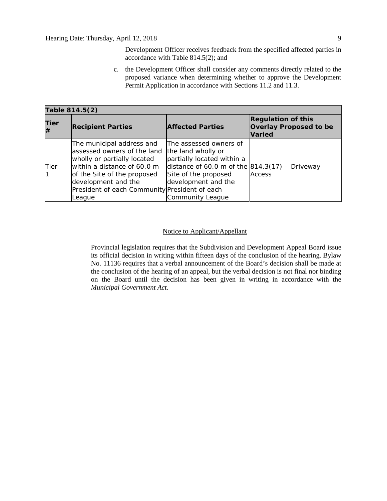Development Officer receives feedback from the specified affected parties in accordance with Table 814.5(2); and

c. the Development Officer shall consider any comments directly related to the proposed variance when determining whether to approve the Development Permit Application in accordance with Sections 11.2 and 11.3.

| Table 814.5(2) |                                                                                                                                                                                                                                          |                                                                                                                                                                                                           |                                                                             |  |  |  |  |
|----------------|------------------------------------------------------------------------------------------------------------------------------------------------------------------------------------------------------------------------------------------|-----------------------------------------------------------------------------------------------------------------------------------------------------------------------------------------------------------|-----------------------------------------------------------------------------|--|--|--|--|
| Tier<br>l#     | <b>Recipient Parties</b>                                                                                                                                                                                                                 | <b>Affected Parties</b>                                                                                                                                                                                   | <b>Regulation of this</b><br><b>Overlay Proposed to be</b><br><b>Varied</b> |  |  |  |  |
| Tier           | The municipal address and<br>lassessed owners of the land<br>wholly or partially located<br>within a distance of 60.0 m<br>of the Site of the proposed<br>development and the<br>President of each Community President of each<br>League | The assessed owners of<br>the land wholly or<br>partially located within a<br>distance of 60.0 m of the $ 814.3(17) -$ Driveway<br>Site of the proposed<br>development and the<br><b>Community League</b> | <b>Access</b>                                                               |  |  |  |  |

# Notice to Applicant/Appellant

Provincial legislation requires that the Subdivision and Development Appeal Board issue its official decision in writing within fifteen days of the conclusion of the hearing. Bylaw No. 11136 requires that a verbal announcement of the Board's decision shall be made at the conclusion of the hearing of an appeal, but the verbal decision is not final nor binding on the Board until the decision has been given in writing in accordance with the *Municipal Government Act*.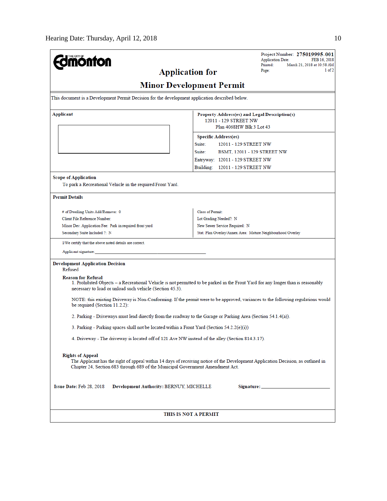| <b>nönfon</b>                                                                                                                                                                                                                                 | Project Number: 275019995-001<br><b>Application Date:</b><br>FEB 16, 2018                                                        |  |  |  |  |  |  |  |
|-----------------------------------------------------------------------------------------------------------------------------------------------------------------------------------------------------------------------------------------------|----------------------------------------------------------------------------------------------------------------------------------|--|--|--|--|--|--|--|
|                                                                                                                                                                                                                                               | Printed:<br>March 21, 2018 at 10:58 AM<br>1 of 2                                                                                 |  |  |  |  |  |  |  |
| <b>Application for</b>                                                                                                                                                                                                                        | Page:                                                                                                                            |  |  |  |  |  |  |  |
| <b>Minor Development Permit</b>                                                                                                                                                                                                               |                                                                                                                                  |  |  |  |  |  |  |  |
| This document is a Development Permit Decision for the development application described below.                                                                                                                                               |                                                                                                                                  |  |  |  |  |  |  |  |
| Applicant                                                                                                                                                                                                                                     | Property Address(es) and Legal Description(s)                                                                                    |  |  |  |  |  |  |  |
|                                                                                                                                                                                                                                               | 12011 - 129 STREET NW<br>Plan 4068HW Blk 3 Lot 43                                                                                |  |  |  |  |  |  |  |
|                                                                                                                                                                                                                                               |                                                                                                                                  |  |  |  |  |  |  |  |
|                                                                                                                                                                                                                                               | <b>Specific Address(es)</b><br>Suite:<br>12011 - 129 STREET NW                                                                   |  |  |  |  |  |  |  |
|                                                                                                                                                                                                                                               |                                                                                                                                  |  |  |  |  |  |  |  |
|                                                                                                                                                                                                                                               | Suite:<br>BSMT, 12011 - 129 STREET NW                                                                                            |  |  |  |  |  |  |  |
|                                                                                                                                                                                                                                               | Entryway: 12011 - 129 STREET NW                                                                                                  |  |  |  |  |  |  |  |
|                                                                                                                                                                                                                                               | Building: 12011 - 129 STREET NW                                                                                                  |  |  |  |  |  |  |  |
| <b>Scope of Application</b>                                                                                                                                                                                                                   |                                                                                                                                  |  |  |  |  |  |  |  |
| To park a Recreational Vehicle in the required Front Yard.                                                                                                                                                                                    |                                                                                                                                  |  |  |  |  |  |  |  |
| <b>Permit Details</b>                                                                                                                                                                                                                         |                                                                                                                                  |  |  |  |  |  |  |  |
| # of Dwelling Units Add/Remove: 0                                                                                                                                                                                                             | Class of Permit:                                                                                                                 |  |  |  |  |  |  |  |
| Client File Reference Number:                                                                                                                                                                                                                 | Lot Grading Needed?: N                                                                                                           |  |  |  |  |  |  |  |
| Minor Dev. Application Fee: Park in required front yard                                                                                                                                                                                       | New Sewer Service Required: N                                                                                                    |  |  |  |  |  |  |  |
| Secondary Suite Included ?: N                                                                                                                                                                                                                 | Stat. Plan Overlay/Annex Area: Mature Neighbourhood Overlay                                                                      |  |  |  |  |  |  |  |
| I/We certify that the above noted details are correct.                                                                                                                                                                                        |                                                                                                                                  |  |  |  |  |  |  |  |
| Applicant signature:                                                                                                                                                                                                                          |                                                                                                                                  |  |  |  |  |  |  |  |
| <b>Development Application Decision</b><br>Refused                                                                                                                                                                                            |                                                                                                                                  |  |  |  |  |  |  |  |
| <b>Reason for Refusal</b><br>necessary to load or unload such vehicle (Section 45.3).                                                                                                                                                         | 1. Prohibited Objects – a Recreational Vehicle is not permitted to be parked in the Front Yard for any longer than is reasonably |  |  |  |  |  |  |  |
| be required (Section $11.2.2$ ):                                                                                                                                                                                                              | NOTE: this existing Driveway is Non-Conforming. If the permit were to be approved, variances to the following regulations would  |  |  |  |  |  |  |  |
| 2. Parking - Driveways must lead directly from the roadway to the Garage or Parking Area (Section 54.1.4(a)).                                                                                                                                 |                                                                                                                                  |  |  |  |  |  |  |  |
| 3. Parking - Parking spaces shall not be located within a Front Yard (Section 54.2.2(e)(i))                                                                                                                                                   |                                                                                                                                  |  |  |  |  |  |  |  |
| 4. Driveway - The driveway is located off of 121 Ave NW instead of the alley (Section 814.3.17).                                                                                                                                              |                                                                                                                                  |  |  |  |  |  |  |  |
| <b>Rights of Appeal</b><br>The Applicant has the right of appeal within 14 days of receiving notice of the Development Application Decision, as outlined in<br>Chapter 24, Section 683 through 689 of the Municipal Government Amendment Act. |                                                                                                                                  |  |  |  |  |  |  |  |
| Issue Date: Feb 28, 2018<br>Development Authority: BERNUY, MICHELLE                                                                                                                                                                           |                                                                                                                                  |  |  |  |  |  |  |  |
| THIS IS NOT A PERMIT                                                                                                                                                                                                                          |                                                                                                                                  |  |  |  |  |  |  |  |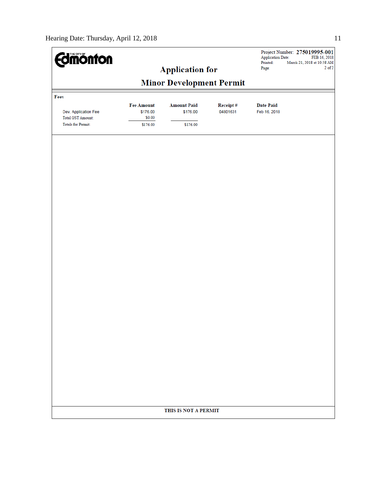| <b>Edmönton</b>                                                               |                                                     | <b>Application for</b>                     |                      | <b>Application Date:</b><br>Printed:<br>Page: | Project Number: 275019995-001<br>FEB 16, 2018<br>March 21, 2018 at 10:58 AM<br>$2$ of $2$ |  |  |  |  |
|-------------------------------------------------------------------------------|-----------------------------------------------------|--------------------------------------------|----------------------|-----------------------------------------------|-------------------------------------------------------------------------------------------|--|--|--|--|
|                                                                               |                                                     |                                            |                      |                                               |                                                                                           |  |  |  |  |
| <b>Minor Development Permit</b><br>Fees                                       |                                                     |                                            |                      |                                               |                                                                                           |  |  |  |  |
| Dev. Application Fee<br><b>Total GST Amount:</b><br><b>Totals for Permit:</b> | <b>Fee Amount</b><br>\$176.00<br>\$0.00<br>\$176.00 | <b>Amount Paid</b><br>\$176.00<br>\$176.00 | Receipt#<br>04801631 | <b>Date Paid</b><br>Feb 16, 2018              |                                                                                           |  |  |  |  |
|                                                                               |                                                     |                                            |                      |                                               |                                                                                           |  |  |  |  |
|                                                                               |                                                     |                                            |                      |                                               |                                                                                           |  |  |  |  |
|                                                                               |                                                     |                                            |                      |                                               |                                                                                           |  |  |  |  |
|                                                                               |                                                     |                                            |                      |                                               |                                                                                           |  |  |  |  |
|                                                                               |                                                     |                                            |                      |                                               |                                                                                           |  |  |  |  |
|                                                                               |                                                     |                                            |                      |                                               |                                                                                           |  |  |  |  |
|                                                                               |                                                     |                                            |                      |                                               |                                                                                           |  |  |  |  |
|                                                                               |                                                     |                                            |                      |                                               |                                                                                           |  |  |  |  |
|                                                                               |                                                     |                                            |                      |                                               |                                                                                           |  |  |  |  |
|                                                                               |                                                     |                                            |                      |                                               |                                                                                           |  |  |  |  |
|                                                                               |                                                     |                                            |                      |                                               |                                                                                           |  |  |  |  |
|                                                                               |                                                     | THIS IS NOT A PERMIT                       |                      |                                               |                                                                                           |  |  |  |  |